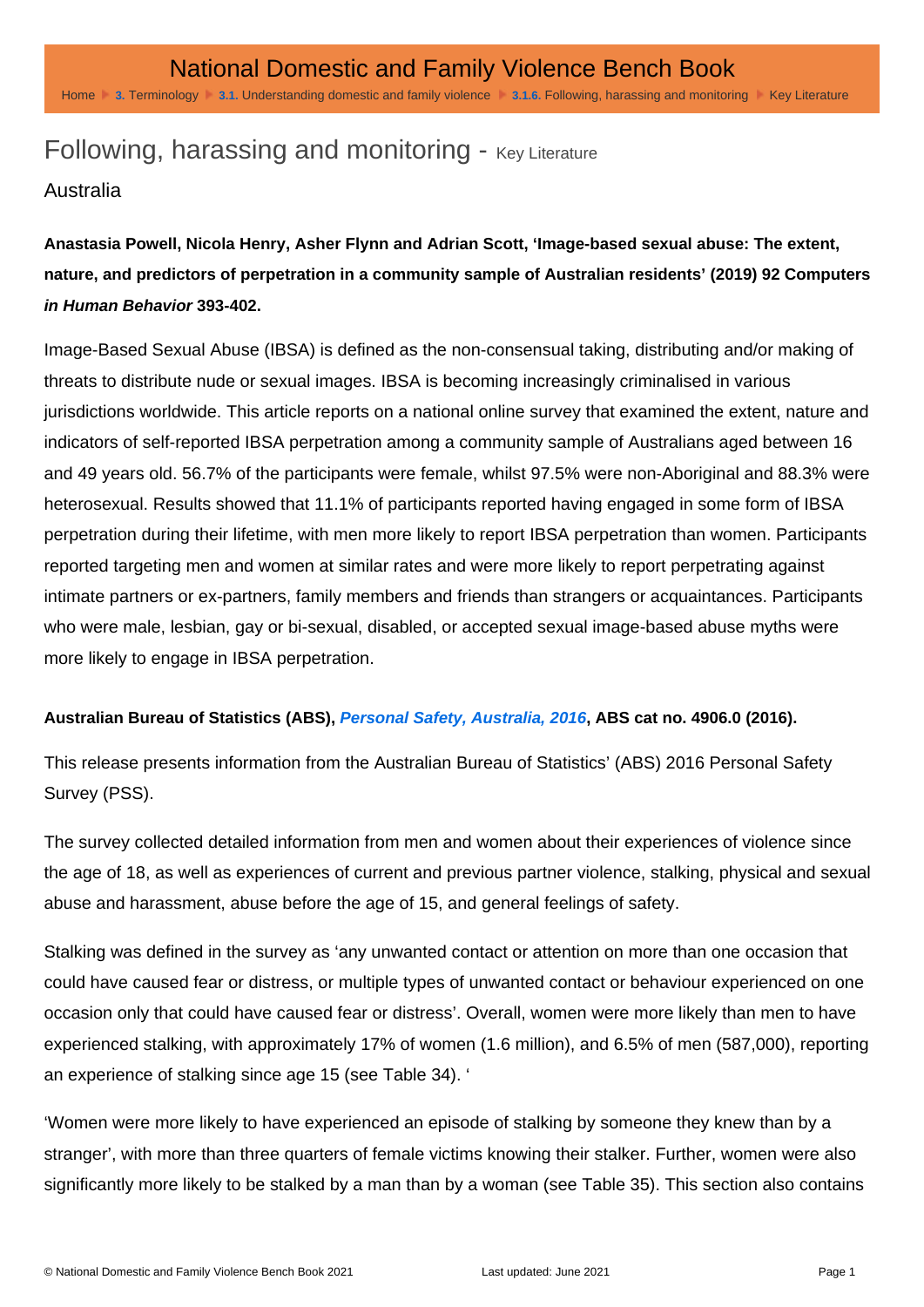# Following, harassing and monitoring - Key Literature

#### Australia

Anastasia Powell, Nicola Henry, Asher Flynn and Adrian Scott, 'Image-based sexual abuse: The extent, nature, and predictors of perpetration in a community sample of Australian residents' (2019) 92 Computers in Human Behavior 393-402.

Image-Based Sexual Abuse (IBSA) is defined as the non-consensual taking, distributing and/or making of threats to distribute nude or sexual images. IBSA is becoming increasingly criminalised in various jurisdictions worldwide. This article reports on a national online survey that examined the extent, nature and indicators of self-reported IBSA perpetration among a community sample of Australians aged between 16 and 49 years old. 56.7% of the participants were female, whilst 97.5% were non-Aboriginal and 88.3% were heterosexual. Results showed that 11.1% of participants reported having engaged in some form of IBSA perpetration during their lifetime, with men more likely to report IBSA perpetration than women. Participants reported targeting men and women at similar rates and were more likely to report perpetrating against intimate partners or ex-partners, family members and friends than strangers or acquaintances. Participants who were male, lesbian, gay or bi-sexual, disabled, or accepted sexual image-based abuse myths were more likely to engage in IBSA perpetration.

Australian Bureau of Statistics (ABS), [Personal Safety, Australia, 2016](https://www.abs.gov.au/statistics/people/crime-and-justice/personal-safety-australia/latest-release) , ABS cat no. 4906.0 (2016).

This release presents information from the Australian Bureau of Statistics' (ABS) 2016 Personal Safety Survey (PSS).

The survey collected detailed information from men and women about their experiences of violence since the age of 18, as well as experiences of current and previous partner violence, stalking, physical and sexual abuse and harassment, abuse before the age of 15, and general feelings of safety.

Stalking was defined in the survey as 'any unwanted contact or attention on more than one occasion that could have caused fear or distress, or multiple types of unwanted contact or behaviour experienced on one occasion only that could have caused fear or distress'. Overall, women were more likely than men to have experienced stalking, with approximately 17% of women (1.6 million), and 6.5% of men (587,000), reporting an experience of stalking since age 15 (see Table 34). '

'Women were more likely to have experienced an episode of stalking by someone they knew than by a stranger', with more than three quarters of female victims knowing their stalker. Further, women were also significantly more likely to be stalked by a man than by a woman (see Table 35). This section also contains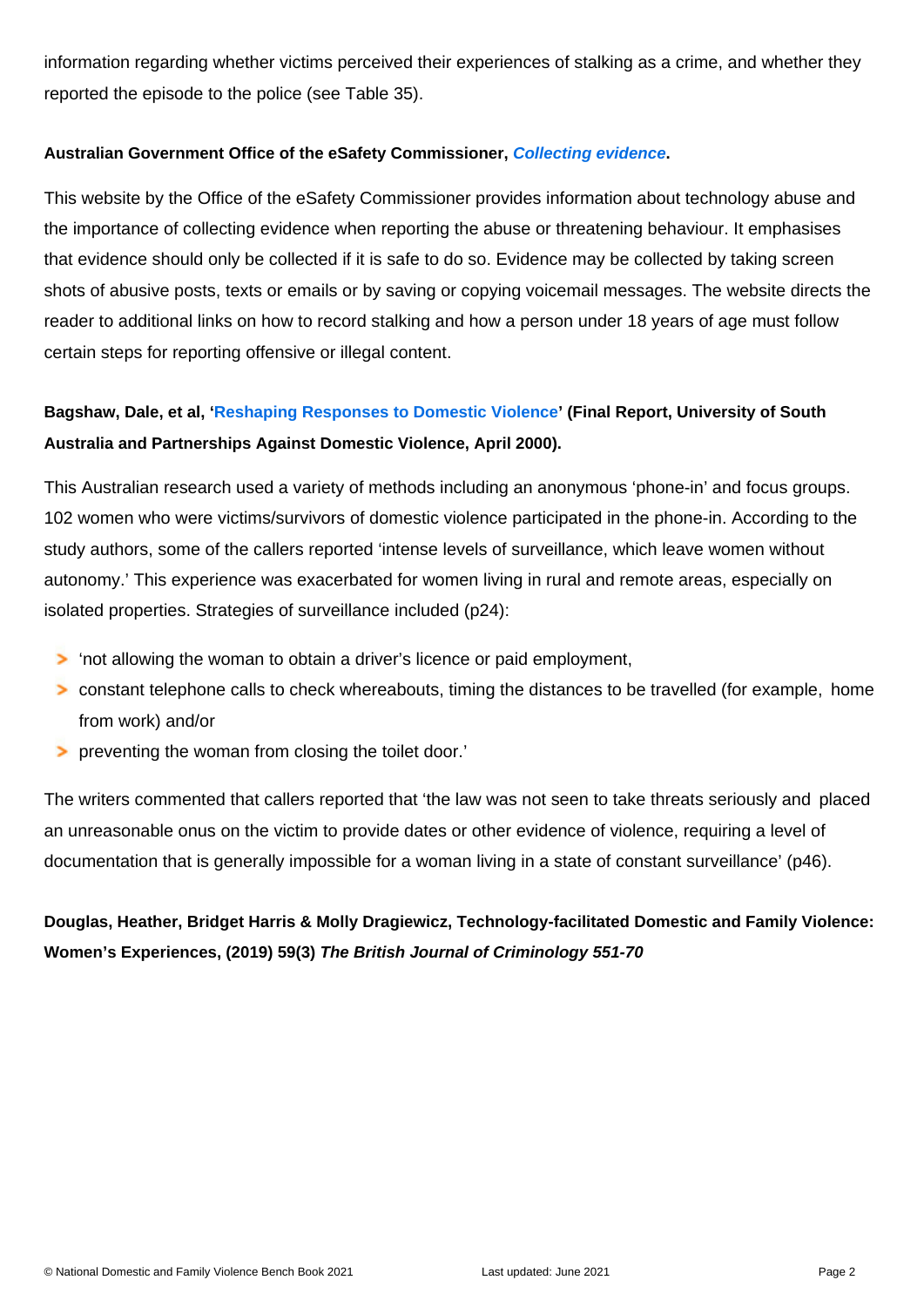information regarding whether victims perceived their experiences of stalking as a crime, and whether they reported the episode to the police (see Table 35).

#### Australian Government Office of the eSafety Commissioner, [Collecting evidence](https://www.esafety.gov.au/key-issues/domestic-family-violence/help-support/collecting-evidence) .

This website by the Office of the eSafety Commissioner provides information about technology abuse and the importance of collecting evidence when reporting the abuse or threatening behaviour. It emphasises that evidence should only be collected if it is safe to do so. Evidence may be collected by taking screen shots of abusive posts, texts or emails or by saving or copying voicemail messages. The website directs the reader to additional links on how to record stalking and how a person under 18 years of age must follow certain steps for reporting offensive or illegal content.

Bagshaw, Dale, et al, '[Reshaping Responses to Domestic Violence](http://wesnet.org.au/wp-content/uploads/2012/07/PADV-Reshaping-responses.pdf) ' (Final Report, University of South Australia and Partnerships Against Domestic Violence, April 2000).

This Australian research used a variety of methods including an anonymous 'phone-in' and focus groups. 102 women who were victims/survivors of domestic violence participated in the phone-in. According to the study authors, some of the callers reported 'intense levels of surveillance, which leave women without autonomy.' This experience was exacerbated for women living in rural and remote areas, especially on isolated properties. Strategies of surveillance included (p24):

'not allowing the woman to obtain a driver's licence or paid employment,

constant telephone calls to check whereabouts, timing the distances to be travelled (for example, home from work) and/or

preventing the woman from closing the toilet door.'

The writers commented that callers reported that 'the law was not seen to take threats seriously and placed an unreasonable onus on the victim to provide dates or other evidence of violence, requiring a level of documentation that is generally impossible for a woman living in a state of constant surveillance' (p46).

Douglas, Heather, Bridget Harris & Molly Dragiewicz, Technology-facilitated Domestic and Family Violence: Women's Experiences, (2019) 59(3) The British Journal of Criminology 551-70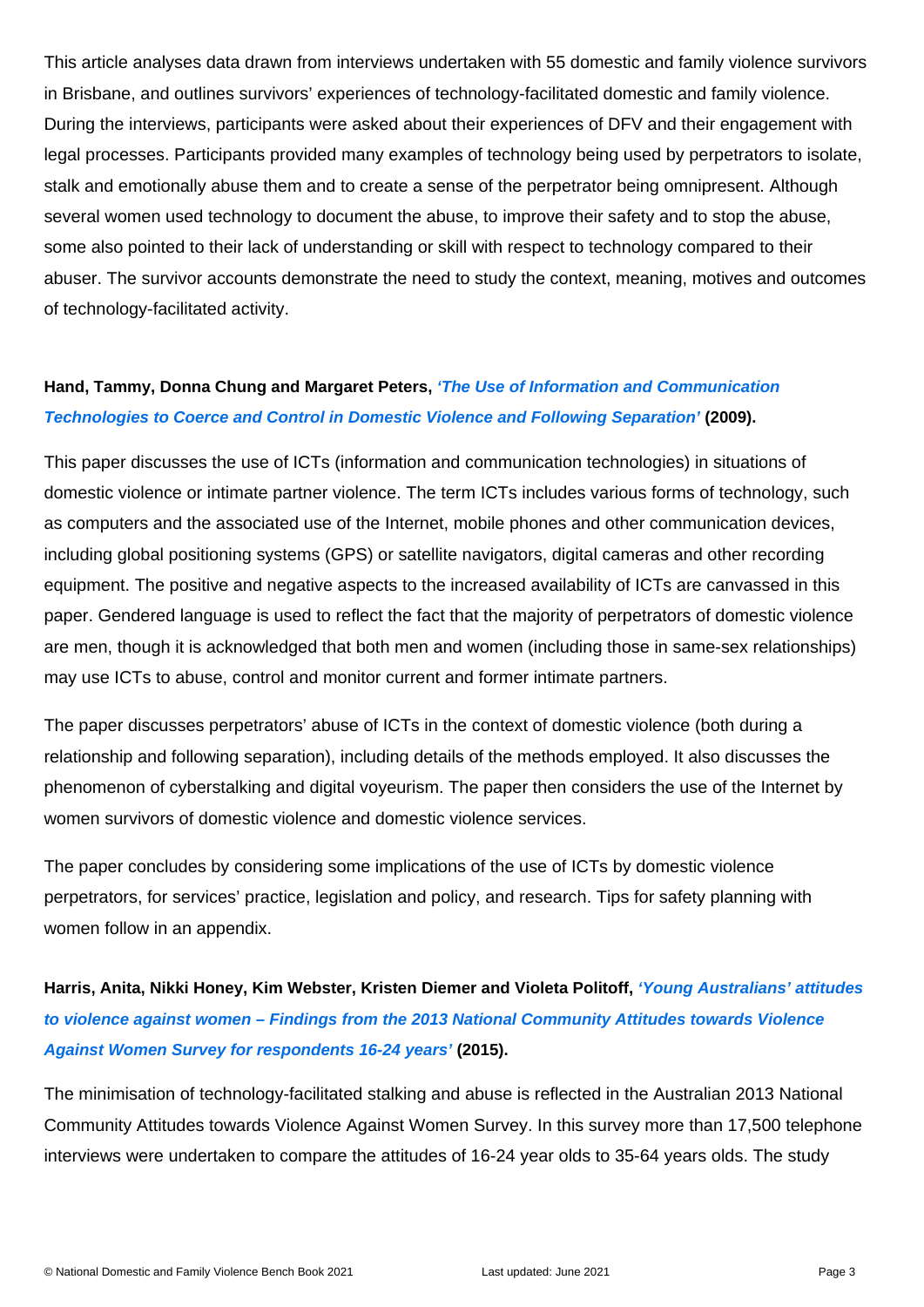This article analyses data drawn from interviews undertaken with 55 domestic and family violence survivors in Brisbane, and outlines survivors' experiences of technology-facilitated domestic and family violence. During the interviews, participants were asked about their experiences of DFV and their engagement with legal processes. Participants provided many examples of technology being used by perpetrators to isolate, stalk and emotionally abuse them and to create a sense of the perpetrator being omnipresent. Although several women used technology to document the abuse, to improve their safety and to stop the abuse, some also pointed to their lack of understanding or skill with respect to technology compared to their abuser. The survivor accounts demonstrate the need to study the context, meaning, motives and outcomes of technology-facilitated activity.

### Hand, Tammy, Donna Chung and Margaret Peters, ['The Use of Information and Communication](https://advocacy4oromia.files.wordpress.com/2015/03/stakeholderpaper_6.pdf)  [Technologies to Coerce and Control in Domestic Violence and Following Separation'](https://advocacy4oromia.files.wordpress.com/2015/03/stakeholderpaper_6.pdf) (2009).

This paper discusses the use of ICTs (information and communication technologies) in situations of domestic violence or intimate partner violence. The term ICTs includes various forms of technology, such as computers and the associated use of the Internet, mobile phones and other communication devices, including global positioning systems (GPS) or satellite navigators, digital cameras and other recording equipment. The positive and negative aspects to the increased availability of ICTs are canvassed in this paper. Gendered language is used to reflect the fact that the majority of perpetrators of domestic violence are men, though it is acknowledged that both men and women (including those in same-sex relationships) may use ICTs to abuse, control and monitor current and former intimate partners.

The paper discusses perpetrators' abuse of ICTs in the context of domestic violence (both during a relationship and following separation), including details of the methods employed. It also discusses the phenomenon of cyberstalking and digital voyeurism. The paper then considers the use of the Internet by women survivors of domestic violence and domestic violence services.

The paper concludes by considering some implications of the use of ICTs by domestic violence perpetrators, for services' practice, legislation and policy, and research. Tips for safety planning with women follow in an appendix.

Harris, Anita, Nikki Honey, Kim Webster, Kristen Diemer and Violeta Politoff, "Young Australians' attitudes [to violence against women – Findings from the 2013 National Community Attitudes towards Violence](https://www.vichealth.vic.gov.au/~/media/resourcecentre/publicationsandresources/pvaw/surveyreport_youngpeople-attitudes-violence-against-women.pdf)  [Against Women Survey for respondents 16-24 years'](https://www.vichealth.vic.gov.au/~/media/resourcecentre/publicationsandresources/pvaw/surveyreport_youngpeople-attitudes-violence-against-women.pdf) (2015).

The minimisation of technology-facilitated stalking and abuse is reflected in the Australian 2013 National Community Attitudes towards Violence Against Women Survey. In this survey more than 17,500 telephone interviews were undertaken to compare the attitudes of 16-24 year olds to 35-64 years olds. The study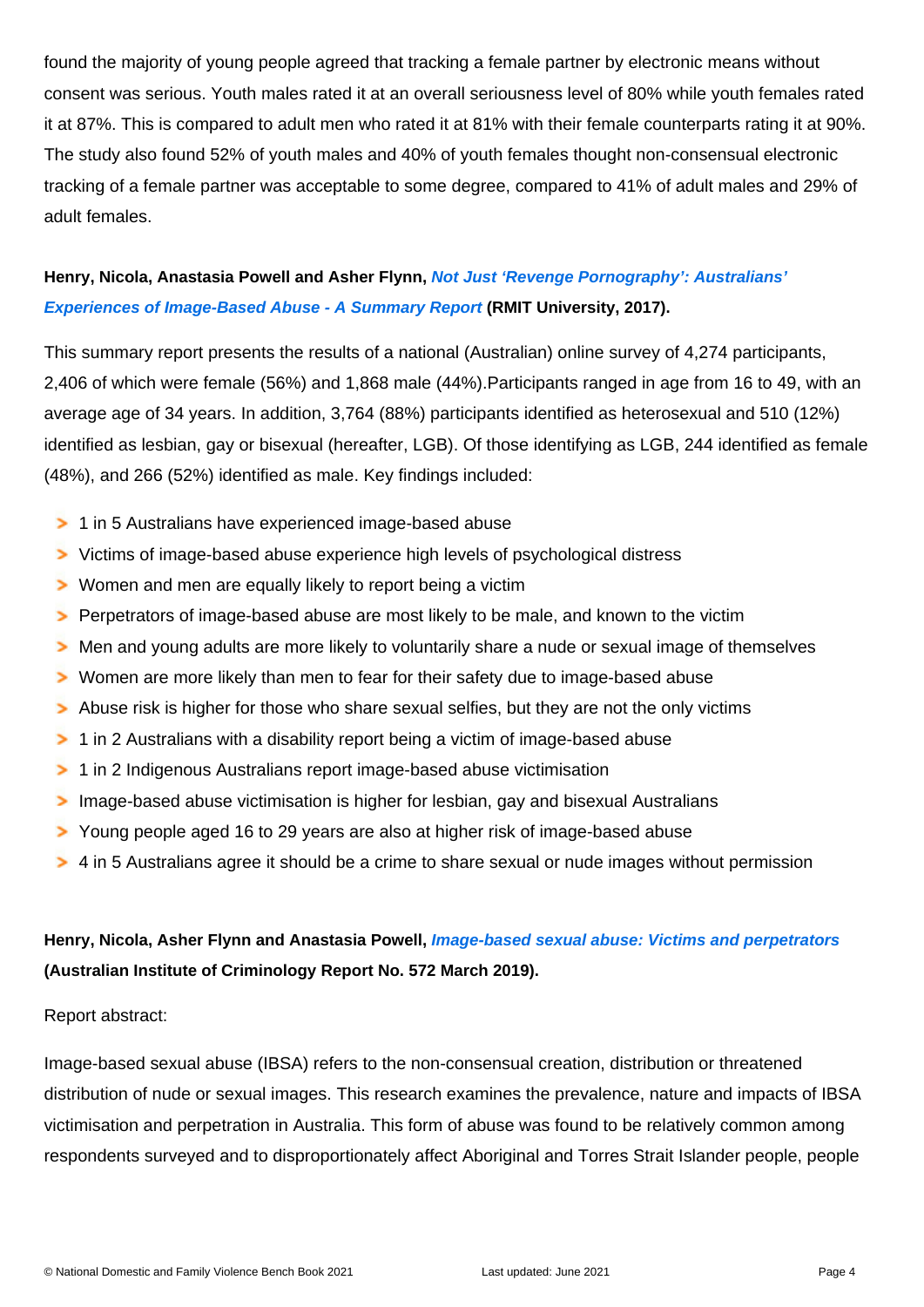found the majority of young people agreed that tracking a female partner by electronic means without consent was serious. Youth males rated it at an overall seriousness level of 80% while youth females rated it at 87%. This is compared to adult men who rated it at 81% with their female counterparts rating it at 90%. The study also found 52% of youth males and 40% of youth females thought non-consensual electronic tracking of a female partner was acceptable to some degree, compared to 41% of adult males and 29% of adult females.

Henry, Nicola, Anastasia Powell and Asher Flynn, Not Just 'Revenge Pornography': Australians' [Experiences of Image-Based Abuse - A Summary Report](http://www.rmit.edu.au/content/dam/rmit/documents/college-of-design-and-social-context/schools/global-urban-and-social-studies/revenge_porn_report_2017.pdf) (RMIT University, 2017).

This summary report presents the results of a national (Australian) online survey of 4,274 participants, 2,406 of which were female (56%) and 1,868 male (44%).Participants ranged in age from 16 to 49, with an average age of 34 years. In addition, 3,764 (88%) participants identified as heterosexual and 510 (12%) identified as lesbian, gay or bisexual (hereafter, LGB). Of those identifying as LGB, 244 identified as female (48%), and 266 (52%) identified as male. Key findings included:

1 in 5 Australians have experienced image-based abuse Victims of image-based abuse experience high levels of psychological distress Women and men are equally likely to report being a victim Perpetrators of image-based abuse are most likely to be male, and known to the victim Men and young adults are more likely to voluntarily share a nude or sexual image of themselves Women are more likely than men to fear for their safety due to image-based abuse Abuse risk is higher for those who share sexual selfies, but they are not the only victims 1 in 2 Australians with a disability report being a victim of image-based abuse 1 in 2 Indigenous Australians report image-based abuse victimisation Image-based abuse victimisation is higher for lesbian, gay and bisexual Australians Young people aged 16 to 29 years are also at higher risk of image-based abuse 4 in 5 Australians agree it should be a crime to share sexual or nude images without permission

Henry, Nicola, Asher Flynn and Anastasia Powell, [Image-based sexual abuse: Victims and perpetrators](https://www.aic.gov.au/publications/tandi/tandi572) (Australian Institute of Criminology Report No. 572 March 2019).

Report abstract:

Image-based sexual abuse (IBSA) refers to the non-consensual creation, distribution or threatened distribution of nude or sexual images. This research examines the prevalence, nature and impacts of IBSA victimisation and perpetration in Australia. This form of abuse was found to be relatively common among respondents surveyed and to disproportionately affect Aboriginal and Torres Strait Islander people, people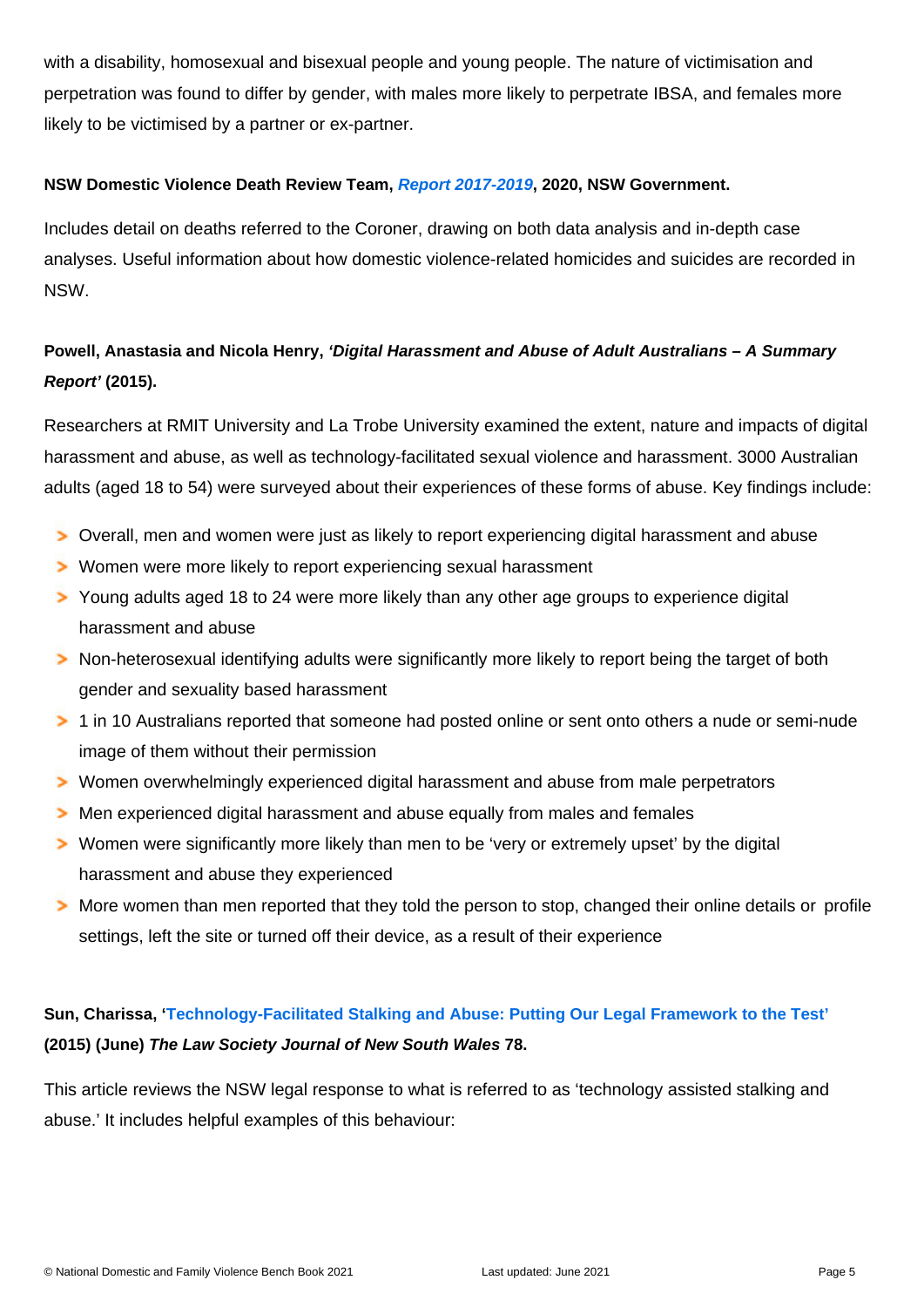with a disability, homosexual and bisexual people and young people. The nature of victimisation and perpetration was found to differ by gender, with males more likely to perpetrate IBSA, and females more likely to be victimised by a partner or ex-partner.

NSW Domestic Violence Death Review Team, [Report 2017-2019](https://coroners.nsw.gov.au/documents/reports/2017-2019_DVDRT_Report.pdf) , 2020, NSW Government.

Includes detail on deaths referred to the Coroner, drawing on both data analysis and in-depth case analyses. Useful information about how domestic violence-related homicides and suicides are recorded in NSW.

Powell, Anastasia and Nicola Henry, 'Digital Harassment and Abuse of Adult Australians – A Summary Report' (2015).

Researchers at RMIT University and La Trobe University examined the extent, nature and impacts of digital harassment and abuse, as well as technology-facilitated sexual violence and harassment. 3000 Australian adults (aged 18 to 54) were surveyed about their experiences of these forms of abuse. Key findings include:

Overall, men and women were just as likely to report experiencing digital harassment and abuse Women were more likely to report experiencing sexual harassment

Young adults aged 18 to 24 were more likely than any other age groups to experience digital harassment and abuse

Non-heterosexual identifying adults were significantly more likely to report being the target of both gender and sexuality based harassment

1 in 10 Australians reported that someone had posted online or sent onto others a nude or semi-nude image of them without their permission

Women overwhelmingly experienced digital harassment and abuse from male perpetrators

Men experienced digital harassment and abuse equally from males and females

Women were significantly more likely than men to be 'very or extremely upset' by the digital harassment and abuse they experienced

More women than men reported that they told the person to stop, changed their online details or profile settings, left the site or turned off their device, as a result of their experience

Sun, Charissa, ' [Technology-Facilitated Stalking and Abuse: Putting Our Legal Framework to the Test'](http://www.wlsnsw.org.au/wp-content/uploads/LSJ-Article-Charissa-Sun-June-2015-LSJ.pdf) (2015) (June) The Law Society Journal of New South Wales 78.

This article reviews the NSW legal response to what is referred to as 'technology assisted stalking and abuse.' It includes helpful examples of this behaviour: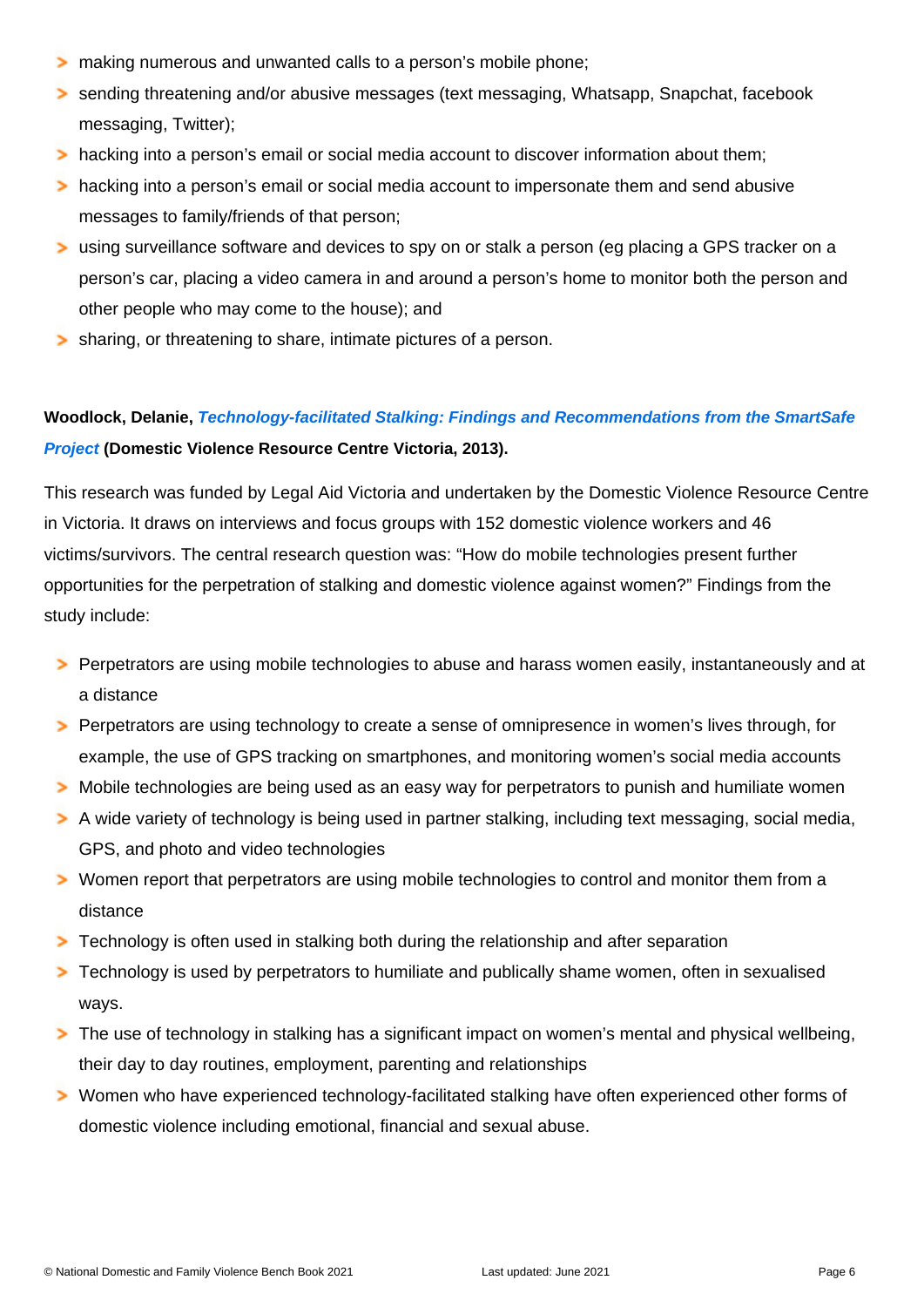making numerous and unwanted calls to a person's mobile phone;

sending threatening and/or abusive messages (text messaging, Whatsapp, Snapchat, facebook messaging, Twitter);

hacking into a person's email or social media account to discover information about them; hacking into a person's email or social media account to impersonate them and send abusive messages to family/friends of that person;

using surveillance software and devices to spy on or stalk a person (eg placing a GPS tracker on a person's car, placing a video camera in and around a person's home to monitor both the person and other people who may come to the house); and

sharing, or threatening to share, intimate pictures of a person.

Woodlock, Delanie, [Technology-facilitated Stalking: Findings and Recommendations from the SmartSafe](https://www.dvrcv.org.au/knowledge-centre/our-research/current-research)  [Project](https://www.dvrcv.org.au/knowledge-centre/our-research/current-research) (Domestic Violence Resource Centre Victoria, 2013).

This research was funded by Legal Aid Victoria and undertaken by the Domestic Violence Resource Centre in Victoria. It draws on interviews and focus groups with 152 domestic violence workers and 46 victims/survivors. The central research question was: "How do mobile technologies present further opportunities for the perpetration of stalking and domestic violence against women?" Findings from the study include:

Perpetrators are using mobile technologies to abuse and harass women easily, instantaneously and at a distance

Perpetrators are using technology to create a sense of omnipresence in women's lives through, for example, the use of GPS tracking on smartphones, and monitoring women's social media accounts Mobile technologies are being used as an easy way for perpetrators to punish and humiliate women A wide variety of technology is being used in partner stalking, including text messaging, social media, GPS, and photo and video technologies

Women report that perpetrators are using mobile technologies to control and monitor them from a distance

Technology is often used in stalking both during the relationship and after separation

Technology is used by perpetrators to humiliate and publically shame women, often in sexualised ways.

The use of technology in stalking has a significant impact on women's mental and physical wellbeing, their day to day routines, employment, parenting and relationships

Women who have experienced technology-facilitated stalking have often experienced other forms of domestic violence including emotional, financial and sexual abuse.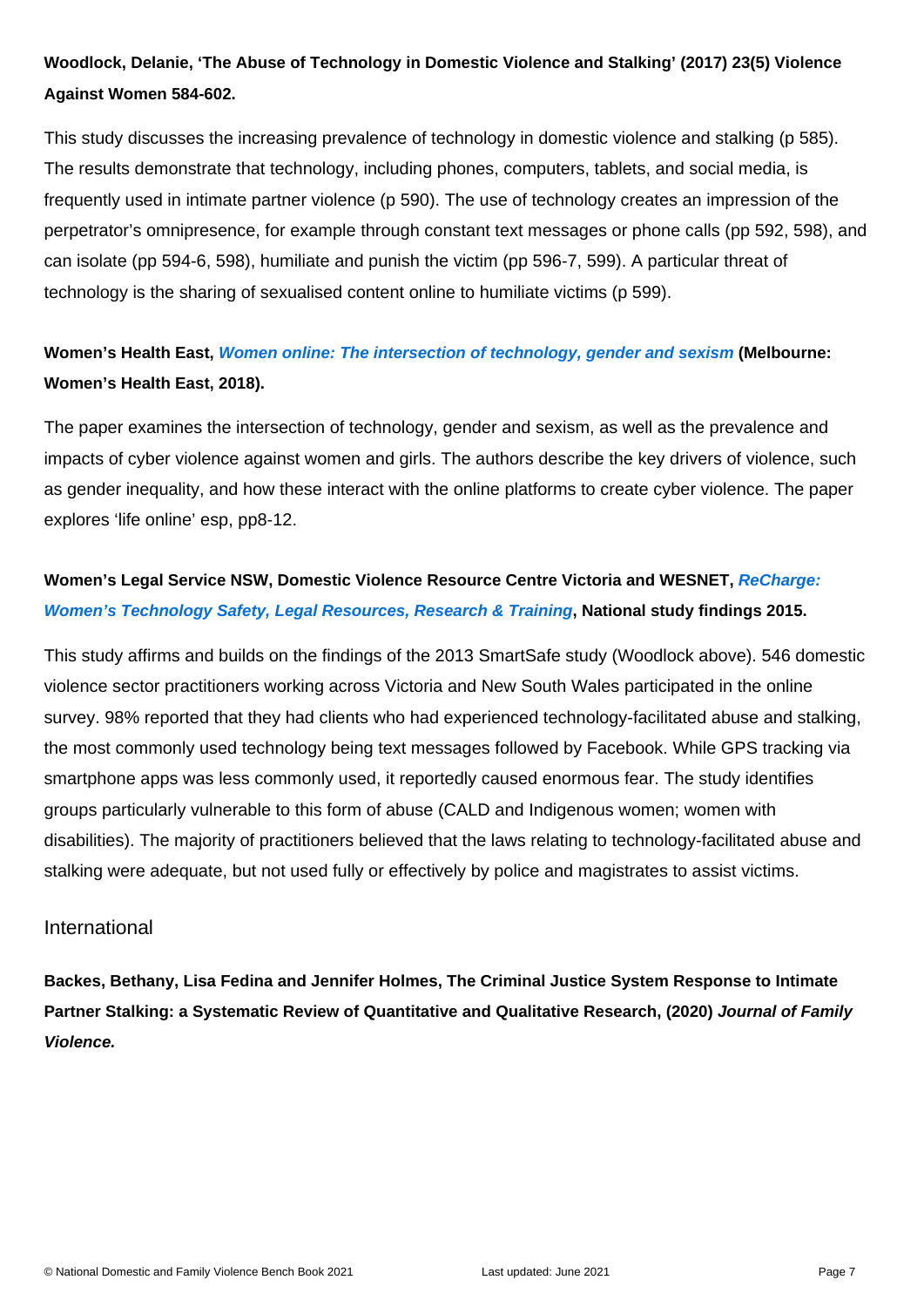Woodlock, Delanie, 'The Abuse of Technology in Domestic Violence and Stalking' (2017) 23(5) Violence Against Women 584-602.

This study discusses the increasing prevalence of technology in domestic violence and stalking (p 585). The results demonstrate that technology, including phones, computers, tablets, and social media, is frequently used in intimate partner violence (p 590). The use of technology creates an impression of the perpetrator's omnipresence, for example through constant text messages or phone calls (pp 592, 598), and can isolate (pp 594-6, 598), humiliate and punish the victim (pp 596-7, 599). A particular threat of technology is the sharing of sexualised content online to humiliate victims (p 599).

Women's Health East, [Women online: The intersection of technology, gender and sexism](https://whe.org.au/custom_type/women-online-the-intersection-of-technology-gender-and-sexism/) (Melbourne: Women's Health East, 2018).

The paper examines the intersection of technology, gender and sexism, as well as the prevalence and impacts of cyber violence against women and girls. The authors describe the key drivers of violence, such as gender inequality, and how these interact with the online platforms to create cyber violence. The paper explores 'life online' esp, pp8-12.

Women's Legal Service NSW, Domestic Violence Resource Centre Victoria and WESNET, ReCharge: [Women's Technology Safety, Legal Resources, Research & Training](https://www.dvrcv.org.au/sites/default/files/ReCharge_0.pdf) , National study findings 2015.

This study affirms and builds on the findings of the 2013 SmartSafe study (Woodlock above). 546 domestic violence sector practitioners working across Victoria and New South Wales participated in the online survey. 98% reported that they had clients who had experienced technology-facilitated abuse and stalking, the most commonly used technology being text messages followed by Facebook. While GPS tracking via smartphone apps was less commonly used, it reportedly caused enormous fear. The study identifies groups particularly vulnerable to this form of abuse (CALD and Indigenous women; women with disabilities). The majority of practitioners believed that the laws relating to technology-facilitated abuse and stalking were adequate, but not used fully or effectively by police and magistrates to assist victims.

#### International

Backes, Bethany, Lisa Fedina and Jennifer Holmes, The Criminal Justice System Response to Intimate Partner Stalking: a Systematic Review of Quantitative and Qualitative Research, (2020) Journal of Family Violence.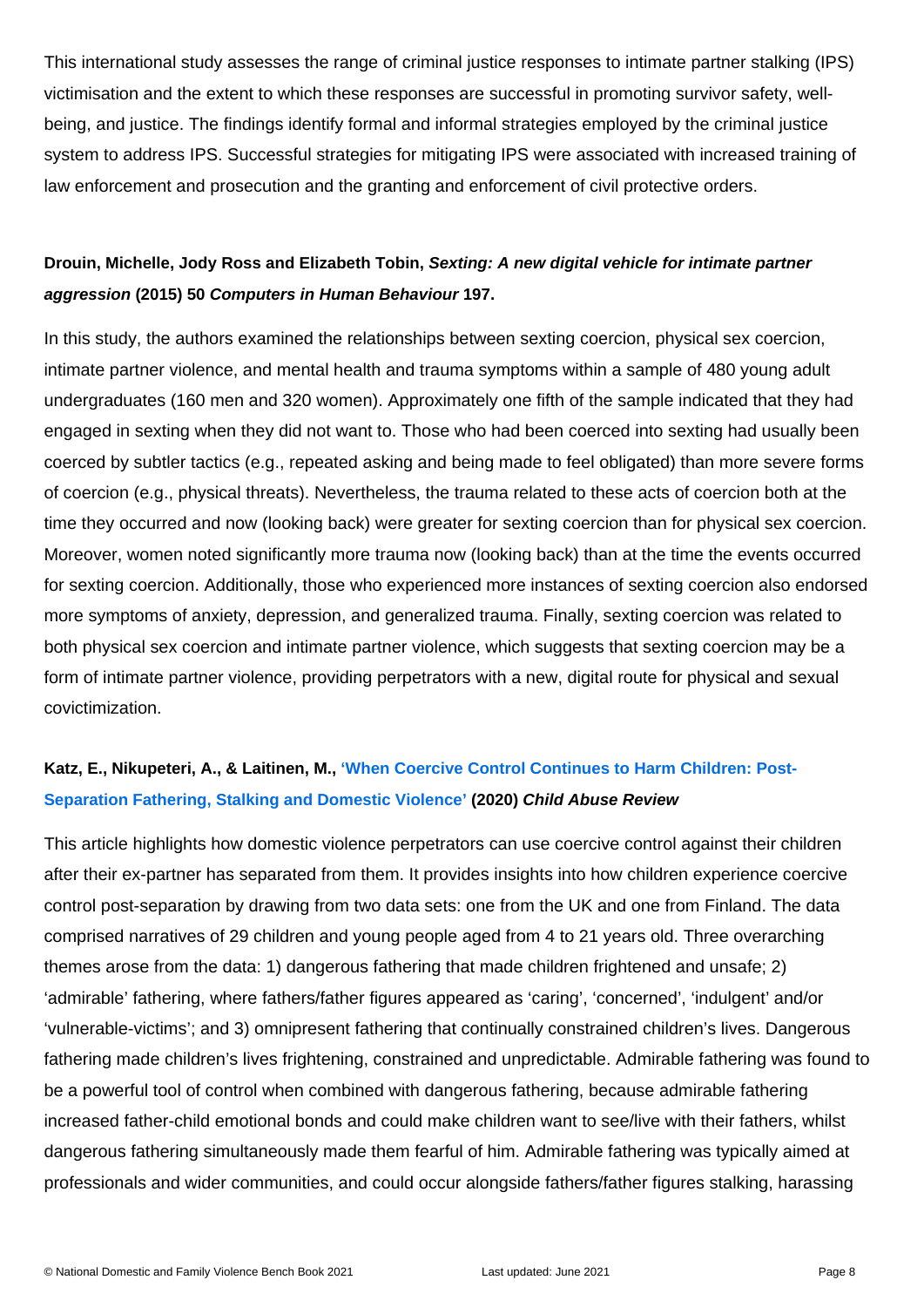This international study assesses the range of criminal justice responses to intimate partner stalking (IPS) victimisation and the extent to which these responses are successful in promoting survivor safety, wellbeing, and justice. The findings identify formal and informal strategies employed by the criminal justice system to address IPS. Successful strategies for mitigating IPS were associated with increased training of law enforcement and prosecution and the granting and enforcement of civil protective orders.

Drouin, Michelle, Jody Ross and Elizabeth Tobin, Sexting: A new digital vehicle for intimate partner aggression (2015) 50 Computers in Human Behaviour 197.

In this study, the authors examined the relationships between sexting coercion, physical sex coercion, intimate partner violence, and mental health and trauma symptoms within a sample of 480 young adult undergraduates (160 men and 320 women). Approximately one fifth of the sample indicated that they had engaged in sexting when they did not want to. Those who had been coerced into sexting had usually been coerced by subtler tactics (e.g., repeated asking and being made to feel obligated) than more severe forms of coercion (e.g., physical threats). Nevertheless, the trauma related to these acts of coercion both at the time they occurred and now (looking back) were greater for sexting coercion than for physical sex coercion. Moreover, women noted significantly more trauma now (looking back) than at the time the events occurred for sexting coercion. Additionally, those who experienced more instances of sexting coercion also endorsed more symptoms of anxiety, depression, and generalized trauma. Finally, sexting coercion was related to both physical sex coercion and intimate partner violence, which suggests that sexting coercion may be a form of intimate partner violence, providing perpetrators with a new, digital route for physical and sexual covictimization.

## Katz, E., Nikupeteri, A., & Laitinen, M., ['When Coercive Control Continues to Harm Children: Post-](https://onlinelibrary.wiley.com/doi/full/10.1002/car.2611?af=R)[Separation Fathering, Stalking and Domestic Violence'](https://onlinelibrary.wiley.com/doi/full/10.1002/car.2611?af=R) (2020) Child Abuse Review

This article highlights how domestic violence perpetrators can use coercive control against their children after their ex-partner has separated from them. It provides insights into how children experience coercive control post-separation by drawing from two data sets: one from the UK and one from Finland. The data comprised narratives of 29 children and young people aged from 4 to 21 years old. Three overarching themes arose from the data: 1) dangerous fathering that made children frightened and unsafe; 2) 'admirable' fathering, where fathers/father figures appeared as 'caring', 'concerned', 'indulgent' and/or 'vulnerable-victims'; and 3) omnipresent fathering that continually constrained children's lives. Dangerous fathering made children's lives frightening, constrained and unpredictable. Admirable fathering was found to be a powerful tool of control when combined with dangerous fathering, because admirable fathering increased father-child emotional bonds and could make children want to see/live with their fathers, whilst dangerous fathering simultaneously made them fearful of him. Admirable fathering was typically aimed at professionals and wider communities, and could occur alongside fathers/father figures stalking, harassing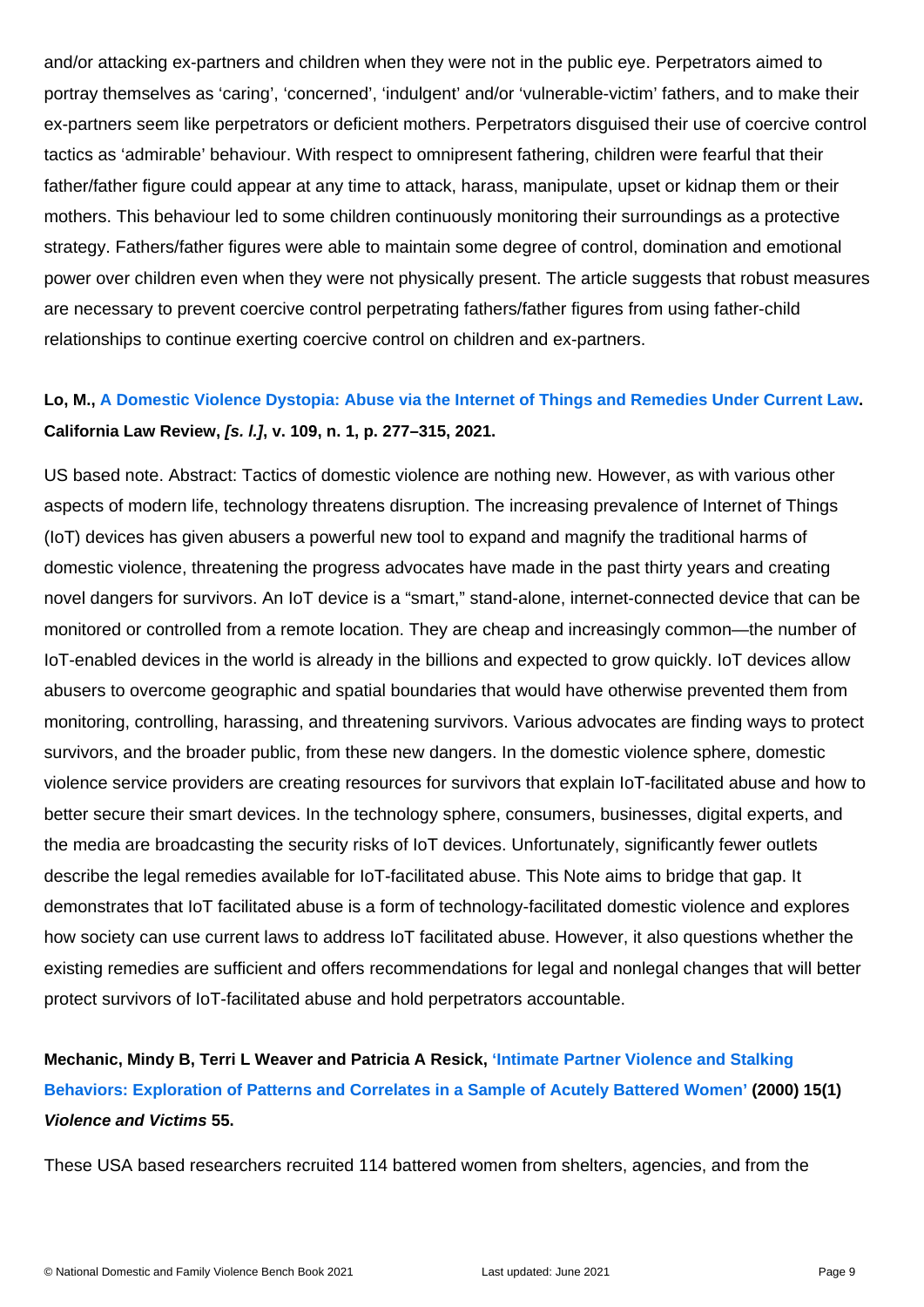and/or attacking ex-partners and children when they were not in the public eye. Perpetrators aimed to portray themselves as 'caring', 'concerned', 'indulgent' and/or 'vulnerable-victim' fathers, and to make their ex-partners seem like perpetrators or deficient mothers. Perpetrators disguised their use of coercive control tactics as 'admirable' behaviour. With respect to omnipresent fathering, children were fearful that their father/father figure could appear at any time to attack, harass, manipulate, upset or kidnap them or their mothers. This behaviour led to some children continuously monitoring their surroundings as a protective strategy. Fathers/father figures were able to maintain some degree of control, domination and emotional power over children even when they were not physically present. The article suggests that robust measures are necessary to prevent coercive control perpetrating fathers/father figures from using father-child relationships to continue exerting coercive control on children and ex-partners.

Lo, M., [A Domestic Violence Dystopia: Abuse via the Internet of Things and Remedies Under Current Law](https://www.californialawreview.org/print/a-domestic-violence-dystopia-abuse-via-the-internet-of-things-and-remedies-under-current-law/) . California Law Review, [s. l.] , v. 109, n. 1, p. 277–315, 2021.

US based note. Abstract: Tactics of domestic violence are nothing new. However, as with various other aspects of modern life, technology threatens disruption. The increasing prevalence of Internet of Things (IoT) devices has given abusers a powerful new tool to expand and magnify the traditional harms of domestic violence, threatening the progress advocates have made in the past thirty years and creating novel dangers for survivors. An IoT device is a "smart," stand-alone, internet-connected device that can be monitored or controlled from a remote location. They are cheap and increasingly common—the number of IoT-enabled devices in the world is already in the billions and expected to grow quickly. IoT devices allow abusers to overcome geographic and spatial boundaries that would have otherwise prevented them from monitoring, controlling, harassing, and threatening survivors. Various advocates are finding ways to protect survivors, and the broader public, from these new dangers. In the domestic violence sphere, domestic violence service providers are creating resources for survivors that explain IoT-facilitated abuse and how to better secure their smart devices. In the technology sphere, consumers, businesses, digital experts, and the media are broadcasting the security risks of IoT devices. Unfortunately, significantly fewer outlets describe the legal remedies available for IoT-facilitated abuse. This Note aims to bridge that gap. It demonstrates that IoT facilitated abuse is a form of technology-facilitated domestic violence and explores how society can use current laws to address IoT facilitated abuse. However, it also questions whether the existing remedies are sufficient and offers recommendations for legal and nonlegal changes that will better protect survivors of IoT-facilitated abuse and hold perpetrators accountable.

Mechanic, Mindy B, Terri L Weaver and Patricia A Resick, ['Intimate Partner Violence and Stalking](https://www.ncbi.nlm.nih.gov/pmc/articles/PMC2977930/)  [Behaviors: Exploration of Patterns and Correlates in a Sample of Acutely Battered Women'](https://www.ncbi.nlm.nih.gov/pmc/articles/PMC2977930/) (2000) 15(1) Violence and Victims 55.

These USA based researchers recruited 114 battered women from shelters, agencies, and from the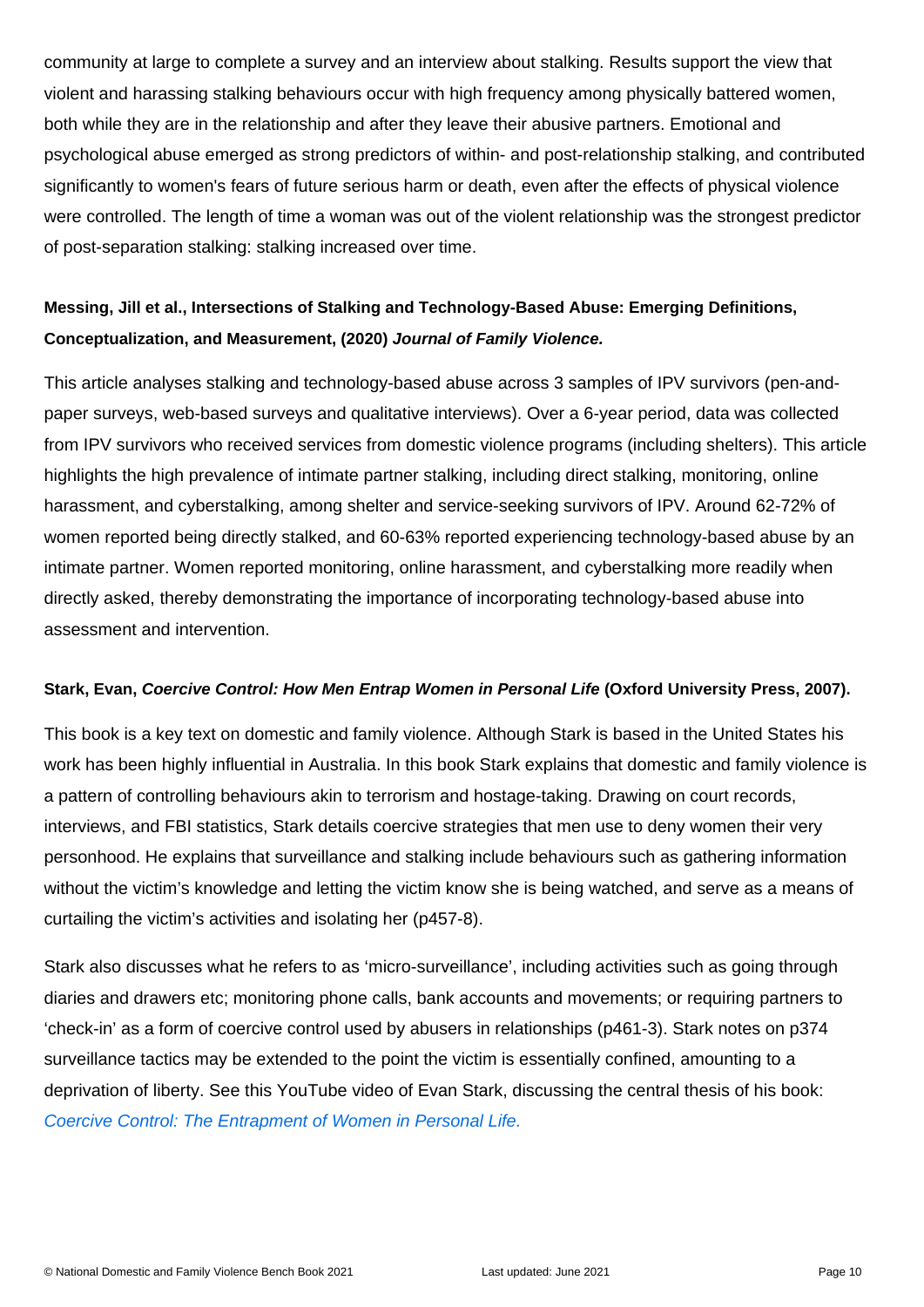community at large to complete a survey and an interview about stalking. Results support the view that violent and harassing stalking behaviours occur with high frequency among physically battered women, both while they are in the relationship and after they leave their abusive partners. Emotional and psychological abuse emerged as strong predictors of within- and post-relationship stalking, and contributed significantly to women's fears of future serious harm or death, even after the effects of physical violence were controlled. The length of time a woman was out of the violent relationship was the strongest predictor of post-separation stalking: stalking increased over time.

Messing, Jill et al., Intersections of Stalking and Technology-Based Abuse: Emerging Definitions, Conceptualization, and Measurement, (2020) Journal of Family Violence.

This article analyses stalking and technology-based abuse across 3 samples of IPV survivors (pen-andpaper surveys, web-based surveys and qualitative interviews). Over a 6-year period, data was collected from IPV survivors who received services from domestic violence programs (including shelters). This article highlights the high prevalence of intimate partner stalking, including direct stalking, monitoring, online harassment, and cyberstalking, among shelter and service-seeking survivors of IPV. Around 62-72% of women reported being directly stalked, and 60-63% reported experiencing technology-based abuse by an intimate partner. Women reported monitoring, online harassment, and cyberstalking more readily when directly asked, thereby demonstrating the importance of incorporating technology-based abuse into assessment and intervention.

Stark, Evan, Coercive Control: How Men Entrap Women in Personal Life (Oxford University Press, 2007).

This book is a key text on domestic and family violence. Although Stark is based in the United States his work has been highly influential in Australia. In this book Stark explains that domestic and family violence is a pattern of controlling behaviours akin to terrorism and hostage-taking. Drawing on court records, interviews, and FBI statistics, Stark details coercive strategies that men use to deny women their very personhood. He explains that surveillance and stalking include behaviours such as gathering information without the victim's knowledge and letting the victim know she is being watched, and serve as a means of curtailing the victim's activities and isolating her (p457-8).

Stark also discusses what he refers to as 'micro-surveillance', including activities such as going through diaries and drawers etc; monitoring phone calls, bank accounts and movements; or requiring partners to 'check-in' as a form of coercive control used by abusers in relationships (p461-3). Stark notes on p374 surveillance tactics may be extended to the point the victim is essentially confined, amounting to a deprivation of liberty. See this YouTube video of Evan Stark, discussing the central thesis of his book: [Coercive Control: The Entrapment of Women in Personal Life.](https://www.youtube.com/watch?v=NLlXXt6WNsM)